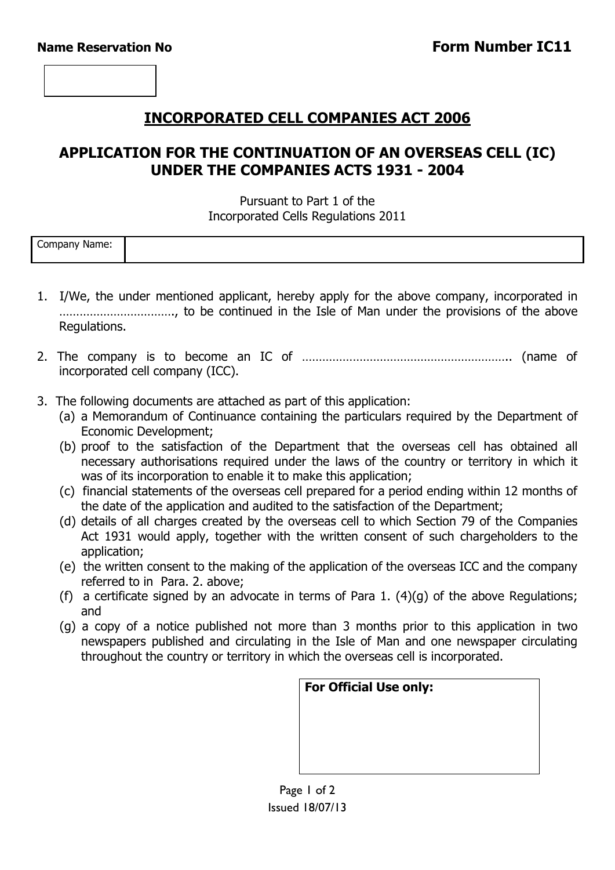## **INCORPORATED CELL COMPANIES ACT 2006**

## **APPLICATION FOR THE CONTINUATION OF AN OVERSEAS CELL (IC) UNDER THE COMPANIES ACTS 1931 - 2004**

#### Pursuant to Part 1 of the Incorporated Cells Regulations 2011

| $\overline{\phantom{0}}$<br>Company<br>Mame: N |  |
|------------------------------------------------|--|
|                                                |  |

- 1. I/We, the under mentioned applicant, hereby apply for the above company, incorporated in ……………………………., to be continued in the Isle of Man under the provisions of the above Regulations.
- 2. The company is to become an IC of …………………………………………………….. (name of incorporated cell company (ICC).
- 3. The following documents are attached as part of this application:
	- (a) a Memorandum of Continuance containing the particulars required by the Department of Economic Development;
	- (b) proof to the satisfaction of the Department that the overseas cell has obtained all necessary authorisations required under the laws of the country or territory in which it was of its incorporation to enable it to make this application;
	- (c) financial statements of the overseas cell prepared for a period ending within 12 months of the date of the application and audited to the satisfaction of the Department;
	- (d) details of all charges created by the overseas cell to which Section 79 of the Companies Act 1931 would apply, together with the written consent of such chargeholders to the application;
	- (e) the written consent to the making of the application of the overseas ICC and the company referred to in Para. 2. above;
	- (f) a certificate signed by an advocate in terms of Para 1.  $(4)(q)$  of the above Regulations; and
	- (g) a copy of a notice published not more than 3 months prior to this application in two newspapers published and circulating in the Isle of Man and one newspaper circulating throughout the country or territory in which the overseas cell is incorporated.

| <b>For Official Use only:</b> |  |  |
|-------------------------------|--|--|
|                               |  |  |
|                               |  |  |
|                               |  |  |
|                               |  |  |

Page 1 of 2 Issued 18/07/13